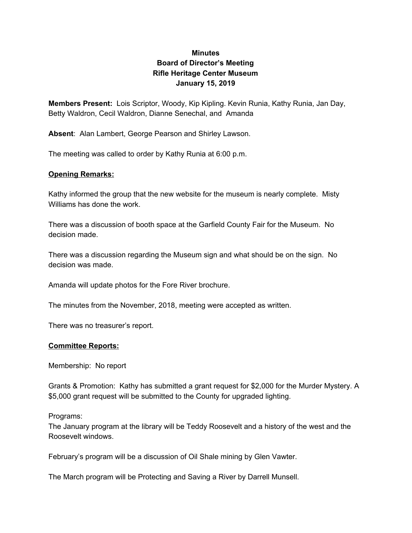# **Minutes Board of Director's Meeting Rifle Heritage Center Museum January 15, 2019**

**Members Present:** Lois Scriptor, Woody, Kip Kipling. Kevin Runia, Kathy Runia, Jan Day, Betty Waldron, Cecil Waldron, Dianne Senechal, and Amanda

**Absent**: Alan Lambert, George Pearson and Shirley Lawson.

The meeting was called to order by Kathy Runia at 6:00 p.m.

## **Opening Remarks:**

Kathy informed the group that the new website for the museum is nearly complete. Misty Williams has done the work.

There was a discussion of booth space at the Garfield County Fair for the Museum. No decision made.

There was a discussion regarding the Museum sign and what should be on the sign. No decision was made.

Amanda will update photos for the Fore River brochure.

The minutes from the November, 2018, meeting were accepted as written.

There was no treasurer's report.

## **Committee Reports:**

Membership: No report

Grants & Promotion: Kathy has submitted a grant request for \$2,000 for the Murder Mystery. A \$5,000 grant request will be submitted to the County for upgraded lighting.

Programs:

The January program at the library will be Teddy Roosevelt and a history of the west and the Roosevelt windows.

February's program will be a discussion of Oil Shale mining by Glen Vawter.

The March program will be Protecting and Saving a River by Darrell Munsell.